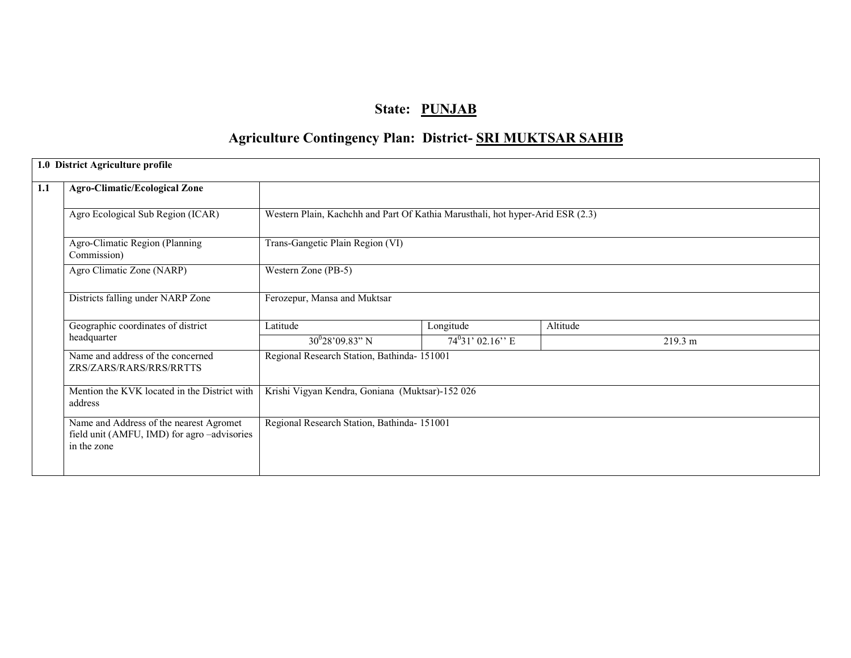## State: PUNJAB

# Agriculture Contingency Plan: District- SRI MUKTSAR SAHIB

|                                                              | 1.0 District Agriculture profile                                                                     |                                                                                |                    |          |         |
|--------------------------------------------------------------|------------------------------------------------------------------------------------------------------|--------------------------------------------------------------------------------|--------------------|----------|---------|
| 1.1                                                          | <b>Agro-Climatic/Ecological Zone</b>                                                                 |                                                                                |                    |          |         |
|                                                              | Agro Ecological Sub Region (ICAR)                                                                    | Western Plain, Kachchh and Part Of Kathia Marusthali, hot hyper-Arid ESR (2.3) |                    |          |         |
|                                                              | Agro-Climatic Region (Planning<br>Commission)                                                        | Trans-Gangetic Plain Region (VI)                                               |                    |          |         |
|                                                              | Agro Climatic Zone (NARP)                                                                            | Western Zone (PB-5)                                                            |                    |          |         |
|                                                              | Districts falling under NARP Zone                                                                    | Ferozepur, Mansa and Muktsar                                                   |                    |          |         |
|                                                              | Geographic coordinates of district                                                                   | Latitude                                                                       | Longitude          | Altitude |         |
|                                                              | headquarter                                                                                          | $30^028'09.83''$ N                                                             | $74^031'$ 02.16" E |          | 219.3 m |
| Name and address of the concerned<br>ZRS/ZARS/RARS/RRS/RRTTS |                                                                                                      | Regional Research Station, Bathinda- 151001                                    |                    |          |         |
|                                                              | Mention the KVK located in the District with<br>address                                              | Krishi Vigyan Kendra, Goniana (Muktsar)-152 026                                |                    |          |         |
|                                                              | Name and Address of the nearest Agromet<br>field unit (AMFU, IMD) for agro-advisories<br>in the zone | Regional Research Station, Bathinda- 151001                                    |                    |          |         |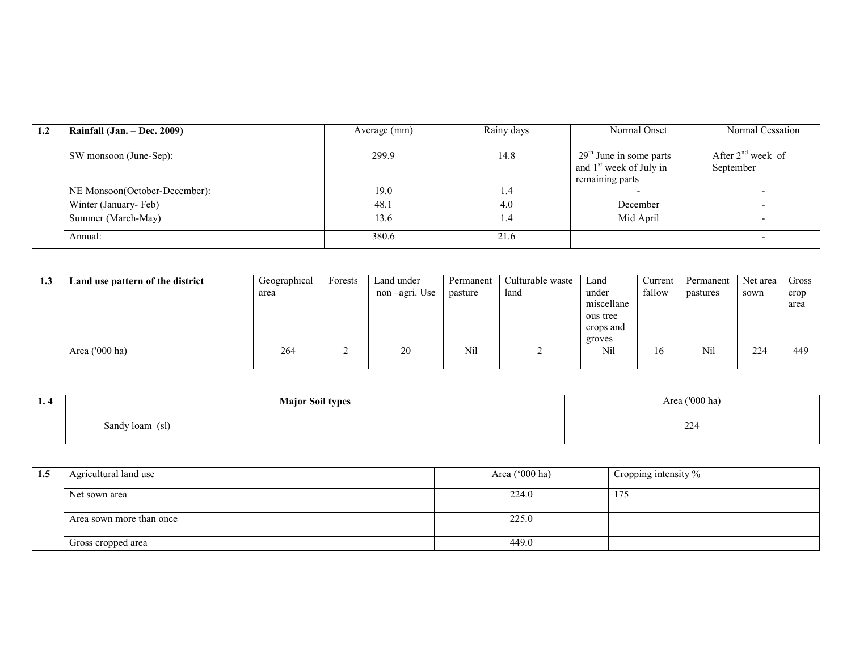| 1.2 | Rainfall $(Jan. - Dec. 2009)$ | Average (mm) | Rainy days | Normal Onset                        | Normal Cessation       |
|-----|-------------------------------|--------------|------------|-------------------------------------|------------------------|
|     |                               |              |            |                                     |                        |
|     | SW monsoon (June-Sep):        | 299.9        | 14.8       | $29th$ June in some parts           | After $2^{nd}$ week of |
|     |                               |              |            | and 1 <sup>st</sup> week of July in | September              |
|     |                               |              |            | remaining parts                     |                        |
|     | NE Monsoon(October-December): | 19.0         |            |                                     |                        |
|     | Winter (January-Feb)          | 48.1         | 4.0        | December                            |                        |
|     | Summer (March-May)            | 13.6         | . . 4      | Mid April                           |                        |
|     | Annual:                       | 380.6        | 21.6       |                                     |                        |

| 1.3 | Land use pattern of the district | Geographical | Forests | Land under    | Permanent | Culturable waste | Land       | Current | Permanent | Net area | Gross |
|-----|----------------------------------|--------------|---------|---------------|-----------|------------------|------------|---------|-----------|----------|-------|
|     |                                  | area         |         | non-agri. Use | pasture   | land             | under      | fallow  | pastures  | sown     | crop  |
|     |                                  |              |         |               |           |                  | miscellane |         |           |          | area  |
|     |                                  |              |         |               |           |                  | ous tree   |         |           |          |       |
|     |                                  |              |         |               |           |                  | crops and  |         |           |          |       |
|     |                                  |              |         |               |           |                  | groves     |         |           |          |       |
|     | Area $(000 \text{ ha})$          | 264          |         | 20            | Nil       |                  | Nil        | 16      | Nil       | 224      | 449   |
|     |                                  |              |         |               |           |                  |            |         |           |          |       |

| - 1. 4 | <b>Major Soil types</b> | $(1000)$ ha<br>Area |
|--------|-------------------------|---------------------|
|        | Sandy loam (sl)         | $\Omega$<br>ZZ4     |

| 1.5 | Agricultural land use    | Area $('000 ha)$ | Cropping intensity % |
|-----|--------------------------|------------------|----------------------|
|     | Net sown area            | 224.0            | 175                  |
|     | Area sown more than once | 225.0            |                      |
|     | Gross cropped area       | 449.0            |                      |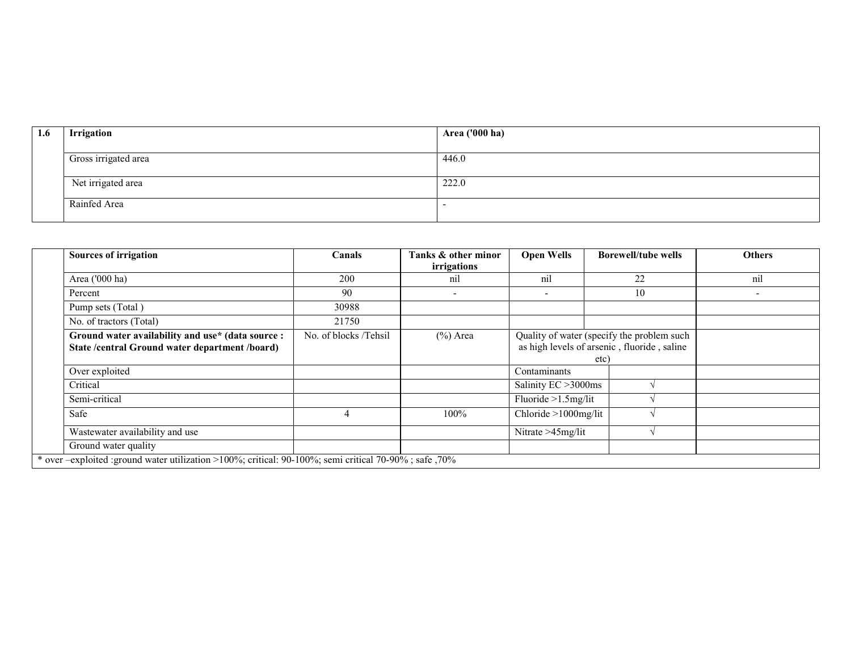| 1.6 | Irrigation           | <b>Area ('000 ha)</b> |
|-----|----------------------|-----------------------|
|     | Gross irrigated area | 446.0                 |
|     | Net irrigated area   | 222.0                 |
|     | Rainfed Area         |                       |

| <b>Sources of irrigation</b>                                                                           | Canals                | Tanks & other minor | <b>Open Wells</b>      | <b>Borewell/tube wells</b>                  | <b>Others</b> |
|--------------------------------------------------------------------------------------------------------|-----------------------|---------------------|------------------------|---------------------------------------------|---------------|
|                                                                                                        |                       | irrigations         |                        |                                             |               |
| Area ('000 ha)                                                                                         | 200                   | nil                 | nil                    | 22                                          | nil           |
| Percent                                                                                                | 90                    |                     |                        | 10                                          |               |
| Pump sets (Total)                                                                                      | 30988                 |                     |                        |                                             |               |
| No. of tractors (Total)                                                                                | 21750                 |                     |                        |                                             |               |
| Ground water availability and use* (data source :                                                      | No. of blocks /Tehsil | $(\%)$ Area         |                        | Quality of water (specify the problem such  |               |
| State /central Ground water department /board)                                                         |                       |                     |                        | as high levels of arsenic, fluoride, saline |               |
|                                                                                                        |                       |                     |                        | etc)                                        |               |
| Over exploited                                                                                         |                       |                     | Contaminants           |                                             |               |
| Critical                                                                                               |                       |                     | Salinity EC > 3000ms   |                                             |               |
| Semi-critical                                                                                          |                       |                     | Fluoride $>1.5$ mg/lit |                                             |               |
| Safe                                                                                                   |                       | 100%                | Chloride >1000mg/lit   |                                             |               |
| Wastewater availability and use                                                                        |                       |                     | Nitrate >45mg/lit      |                                             |               |
| Ground water quality                                                                                   |                       |                     |                        |                                             |               |
| * over -exploited : ground water utilization >100%; critical: 90-100%; semi critical 70-90%; safe ,70% |                       |                     |                        |                                             |               |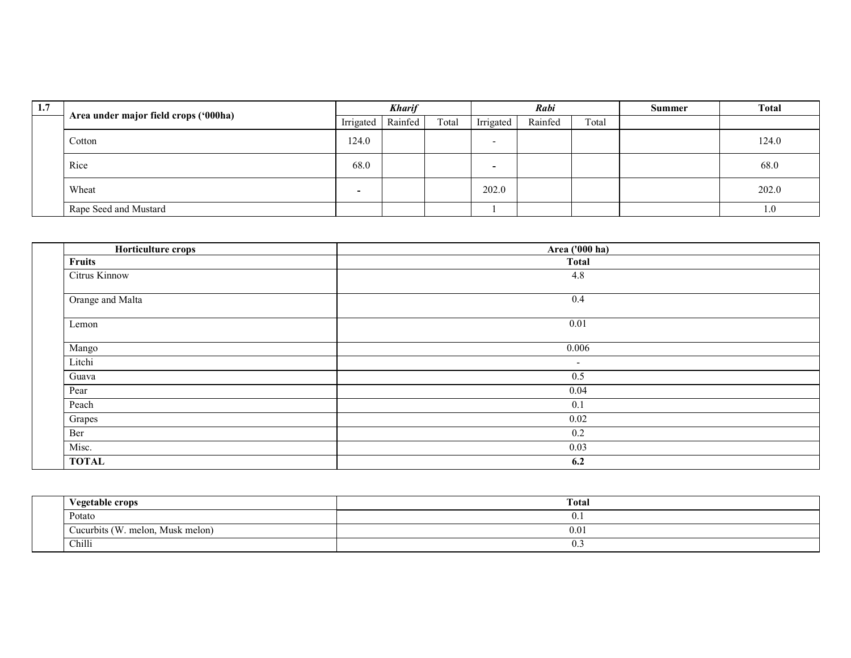| 1.7 | Area under major field crops ('000ha) |                          | <b>Kharif</b> |       | Rabi      |         |       | <b>Summer</b> | <b>Total</b> |
|-----|---------------------------------------|--------------------------|---------------|-------|-----------|---------|-------|---------------|--------------|
|     |                                       | Irrigated                | Rainfed       | Total | Irrigated | Rainfed | Total |               |              |
|     | Cotton                                | 124.0                    |               |       |           |         |       |               | 124.0        |
|     | Rice                                  | 68.0                     |               |       |           |         |       |               | 68.0         |
|     | Wheat                                 | $\overline{\phantom{0}}$ |               |       | 202.0     |         |       |               | 202.0        |
|     | Rape Seed and Mustard                 |                          |               |       |           |         |       |               | 1.0          |

| Horticulture crops | Area ('000 ha) |
|--------------------|----------------|
| <b>Fruits</b>      | <b>Total</b>   |
| Citrus Kinnow      | 4.8            |
|                    |                |
| Orange and Malta   | 0.4            |
|                    |                |
| Lemon              | 0.01           |
|                    | 0.006          |
| Mango              |                |
| Litchi             | $\blacksquare$ |
| Guava              | 0.5            |
| Pear               | 0.04           |
| Peach              | 0.1            |
| Grapes             | 0.02           |
| Ber                | 0.2            |
| Misc.              | 0.03           |
| <b>TOTAL</b>       | 6.2            |

| <b>Vegetable crops</b>                         | Total                   |
|------------------------------------------------|-------------------------|
| Potato                                         | U.1                     |
| 0 (W<br>Cucurbits $\ell$<br>melon, Musk melon) | 0.01                    |
| Chilli                                         | $\mathsf{U}.\mathsf{U}$ |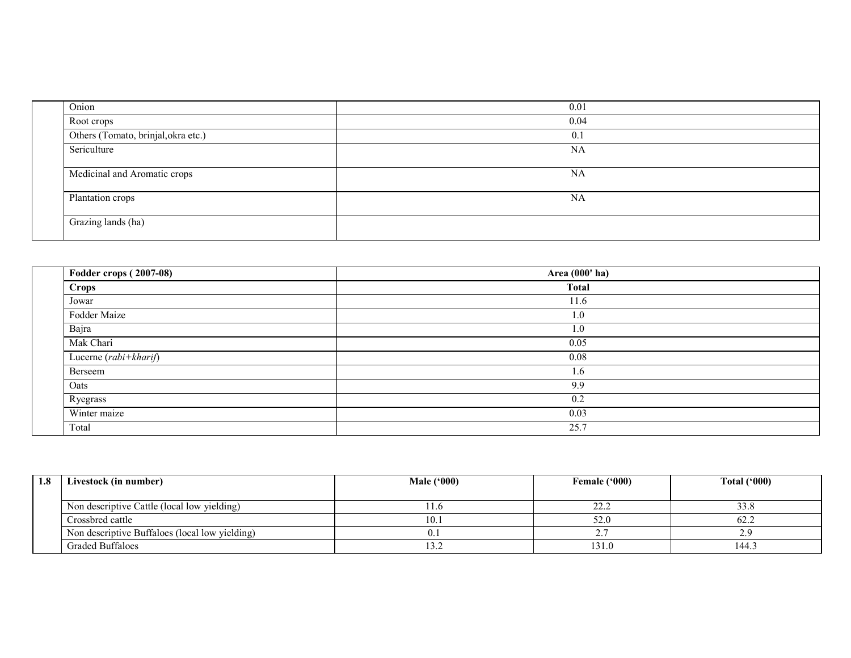| Onion                               | 0.01 |
|-------------------------------------|------|
| Root crops                          | 0.04 |
| Others (Tomato, brinjal, okra etc.) | 0.1  |
| Sericulture                         | NA   |
|                                     |      |
| Medicinal and Aromatic crops        | NA   |
| Plantation crops                    | NA   |
|                                     |      |
| Grazing lands (ha)                  |      |
|                                     |      |

| <b>Fodder crops (2007-08)</b> | Area (000' ha) |
|-------------------------------|----------------|
| Crops                         | <b>Total</b>   |
| Jowar                         | 11.6           |
| Fodder Maize                  | 1.0            |
| Bajra                         | 1.0            |
| Mak Chari                     | 0.05           |
| Lucerne (rabi+kharif)         | 0.08           |
| Berseem                       | 1.6            |
| Oats                          | 9.9            |
| Ryegrass                      | 0.2            |
| Winter maize                  | 0.03           |
| Total                         | 25.7           |

| 1.8 | Livestock (in number)                          | Male $(900)$ | Female ('000) | Total $(900)$ |
|-----|------------------------------------------------|--------------|---------------|---------------|
|     |                                                |              |               |               |
|     | Non descriptive Cattle (local low yielding)    | 1.0          |               | 33.8          |
|     | Crossbred cattle                               | 10.1         | 52.0          | 62.2          |
|     | Non descriptive Buffaloes (local low yielding) |              |               |               |
|     | <b>Graded Buffaloes</b>                        | 13.Z         | 131.0         | 144.3         |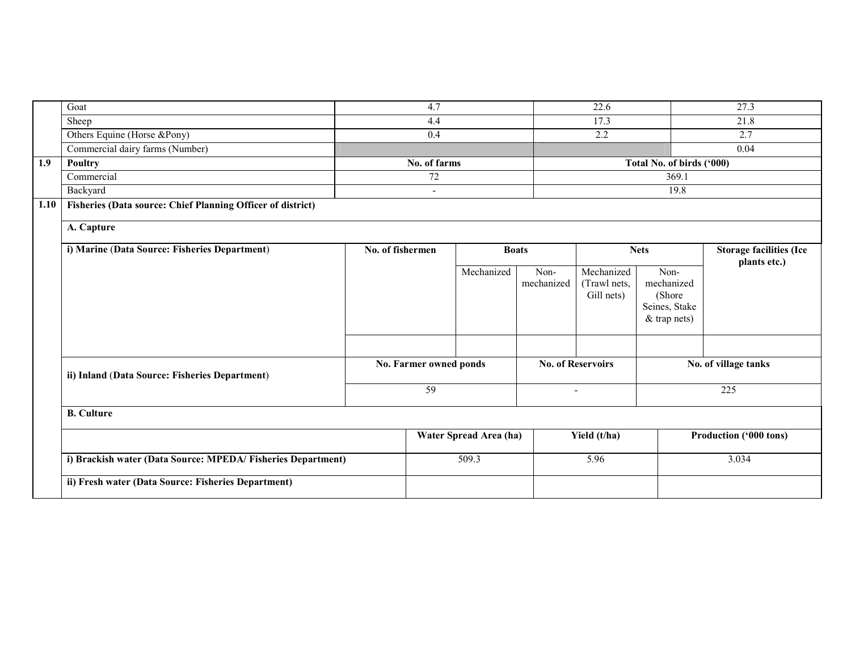|      | Goat                                                        |                  | 4.7                    |                        |                          | 22.6                                     |                                                               | 27.3                                           |  |
|------|-------------------------------------------------------------|------------------|------------------------|------------------------|--------------------------|------------------------------------------|---------------------------------------------------------------|------------------------------------------------|--|
|      | Sheep                                                       |                  | 4.4                    |                        |                          | 17.3                                     |                                                               | 21.8                                           |  |
|      | Others Equine (Horse &Pony)                                 |                  | 0.4                    |                        |                          | 2.2                                      |                                                               | 2.7                                            |  |
|      | Commercial dairy farms (Number)                             |                  |                        |                        |                          |                                          |                                                               | 0.04                                           |  |
| 1.9  | <b>Poultry</b>                                              |                  | No. of farms           |                        |                          |                                          | Total No. of birds ('000)                                     |                                                |  |
|      | Commercial                                                  |                  | $\overline{72}$        |                        |                          |                                          | 369.1                                                         |                                                |  |
|      | Backyard                                                    |                  | $\overline{a}$         |                        |                          |                                          | 19.8                                                          |                                                |  |
| 1.10 | Fisheries (Data source: Chief Planning Officer of district) |                  |                        |                        |                          |                                          |                                                               |                                                |  |
|      | A. Capture                                                  |                  |                        |                        |                          |                                          |                                                               |                                                |  |
|      | i) Marine (Data Source: Fisheries Department)               | No. of fishermen |                        | <b>Boats</b>           |                          |                                          | <b>Nets</b>                                                   | <b>Storage facilities (Ice</b><br>plants etc.) |  |
|      |                                                             |                  |                        | Mechanized             | Non-<br>mechanized       | Mechanized<br>(Trawl nets,<br>Gill nets) | Non-<br>mechanized<br>(Shore<br>Seines, Stake<br>& trap nets) |                                                |  |
|      |                                                             |                  |                        |                        |                          |                                          |                                                               |                                                |  |
|      | ii) Inland (Data Source: Fisheries Department)              |                  | No. Farmer owned ponds |                        |                          | <b>No. of Reservoirs</b>                 |                                                               | No. of village tanks                           |  |
|      |                                                             |                  | 59                     |                        | $\overline{\phantom{a}}$ |                                          |                                                               | 225                                            |  |
|      | <b>B.</b> Culture                                           |                  |                        |                        |                          |                                          |                                                               |                                                |  |
|      |                                                             |                  |                        | Water Spread Area (ha) |                          | Yield (t/ha)                             |                                                               | Production ('000 tons)                         |  |
|      | i) Brackish water (Data Source: MPEDA/Fisheries Department) |                  |                        | 509.3                  |                          | 5.96                                     |                                                               | 3.034                                          |  |
|      | ii) Fresh water (Data Source: Fisheries Department)         |                  |                        |                        |                          |                                          |                                                               |                                                |  |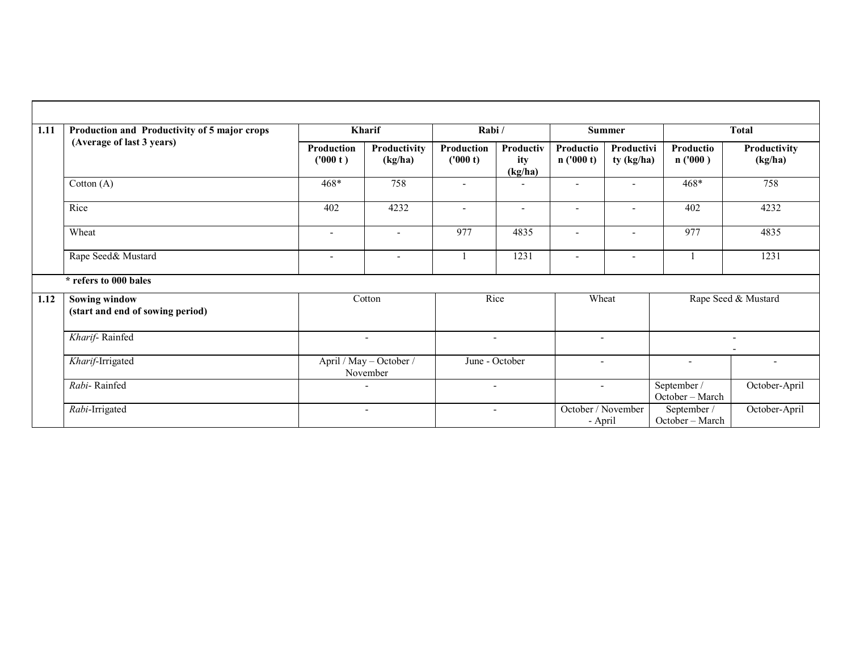| 1.11 | Production and Productivity of 5 major crops             |                          | Kharif                              |                          | Rabi/                       |                               | <b>Summer</b>            |                                | <b>Total</b>             |
|------|----------------------------------------------------------|--------------------------|-------------------------------------|--------------------------|-----------------------------|-------------------------------|--------------------------|--------------------------------|--------------------------|
|      | (Average of last 3 years)                                | Production<br>('000 t)   | Productivity<br>(kg/ha)             | Production<br>('000 t)   | Productiv<br>ity<br>(kg/ha) | <b>Productio</b><br>n(000 t)  | Productivi<br>ty (kg/ha) | <b>Productio</b><br>n('000)    | Productivity<br>(kg/ha)  |
|      | Cotton $(A)$                                             | 468*                     | 758                                 | $\overline{\phantom{a}}$ | ۰                           | $\overline{\phantom{a}}$      | ۰                        | $468*$                         | 758                      |
|      | Rice                                                     | 402                      | 4232                                | $\blacksquare$           | $\blacksquare$              | $\overline{\phantom{0}}$      |                          | 402                            | 4232                     |
|      | Wheat                                                    | $\overline{\phantom{a}}$ | $\blacksquare$                      | 977                      | 4835                        | $\overline{\phantom{a}}$      | $\overline{\phantom{0}}$ | 977                            | 4835                     |
|      | Rape Seed& Mustard                                       | $\overline{\phantom{a}}$ | $\overline{\phantom{a}}$            |                          | 1231                        | $\overline{\phantom{0}}$      | $\overline{\phantom{0}}$ |                                | 1231                     |
|      | * refers to 000 bales                                    |                          |                                     |                          |                             |                               |                          |                                |                          |
| 1.12 | <b>Sowing window</b><br>(start and end of sowing period) |                          | Cotton                              | Rice                     |                             | Wheat                         |                          |                                | Rape Seed & Mustard      |
|      | Kharif-Rainfed                                           |                          | $\overline{\phantom{a}}$            |                          |                             | $\overline{\phantom{a}}$      |                          |                                | $\overline{\phantom{a}}$ |
|      | Kharif-Irrigated                                         |                          | April / May - October /<br>November | June - October           |                             | $\overline{\phantom{0}}$      |                          | $\overline{\phantom{a}}$       | $\overline{\phantom{a}}$ |
|      | Rabi-Rainfed                                             |                          | ٠                                   |                          | $\overline{\phantom{a}}$    | $\overline{\phantom{0}}$      |                          | September /<br>October - March | October-April            |
|      | Rabi-Irrigated                                           |                          | $\overline{\phantom{a}}$            |                          | $\overline{\phantom{a}}$    | October / November<br>- April |                          | September /<br>October - March | October-April            |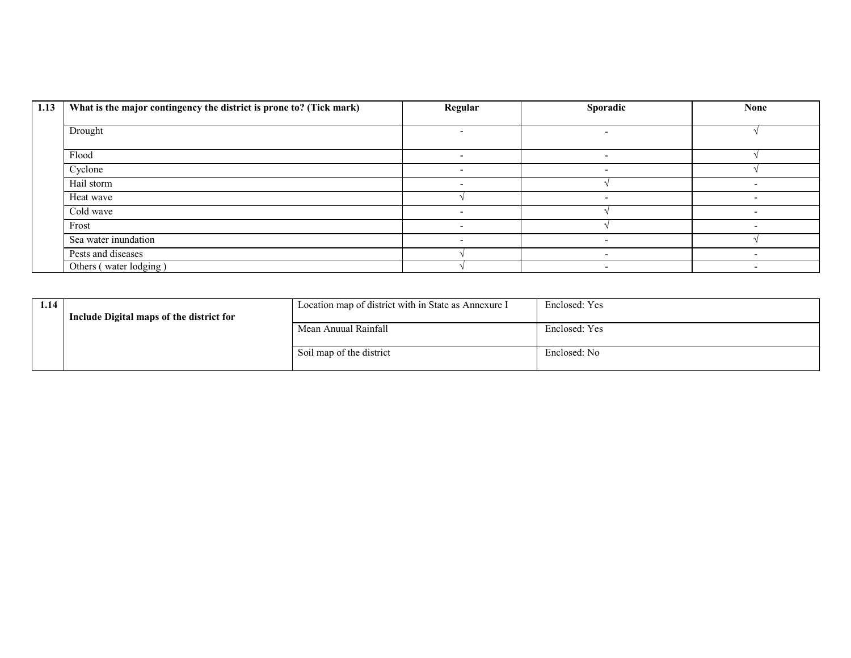| 1.13 | What is the major contingency the district is prone to? (Tick mark) | Regular                  | Sporadic                 | <b>None</b> |
|------|---------------------------------------------------------------------|--------------------------|--------------------------|-------------|
|      |                                                                     |                          |                          |             |
|      | Drought                                                             |                          | -                        |             |
|      | Flood                                                               | $\overline{\phantom{a}}$ | $\overline{\phantom{0}}$ |             |
|      | Cyclone                                                             | -                        | -                        |             |
|      | Hail storm                                                          |                          |                          |             |
|      | Heat wave                                                           |                          |                          |             |
|      | Cold wave                                                           |                          |                          |             |
|      | Frost                                                               |                          |                          |             |
|      |                                                                     |                          |                          |             |
|      | Sea water inundation                                                |                          | -                        |             |
|      | Pests and diseases                                                  |                          | $\overline{\phantom{0}}$ |             |
|      | Others (water lodging)                                              |                          |                          |             |

| 1.14 | Include Digital maps of the district for | Location map of district with in State as Annexure I | Enclosed: Yes |
|------|------------------------------------------|------------------------------------------------------|---------------|
|      |                                          | Mean Anuual Rainfall                                 | Enclosed: Yes |
|      |                                          | Soil map of the district                             | Enclosed: No  |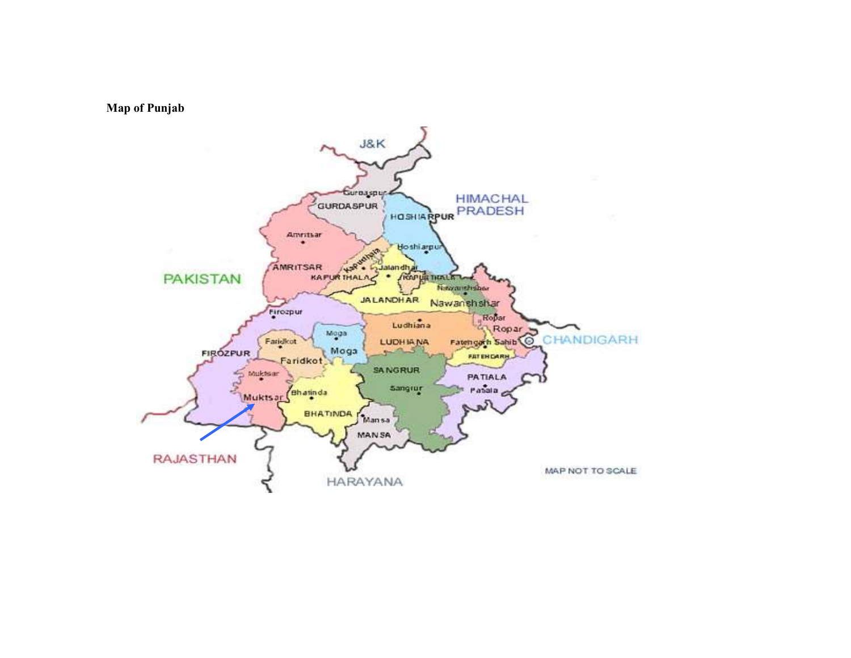

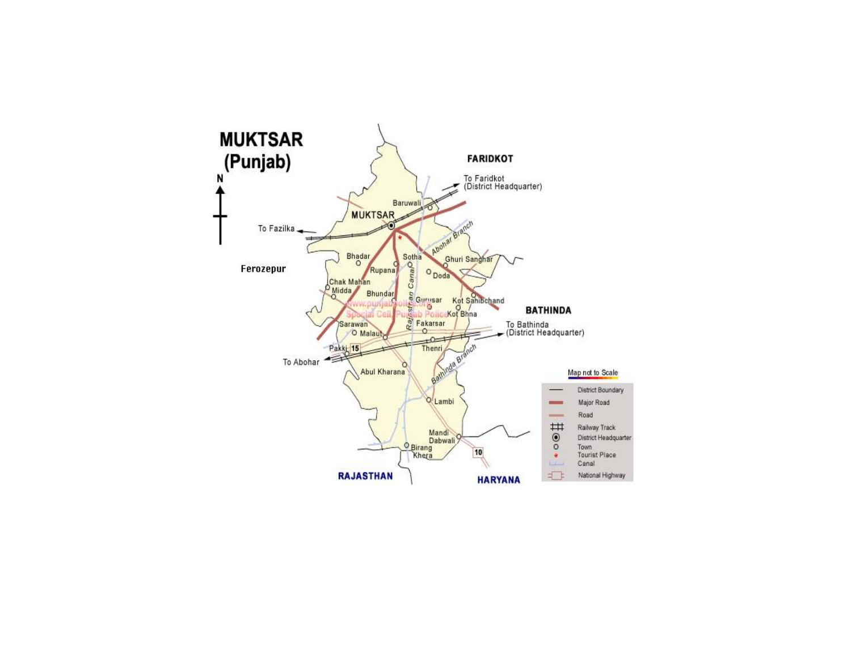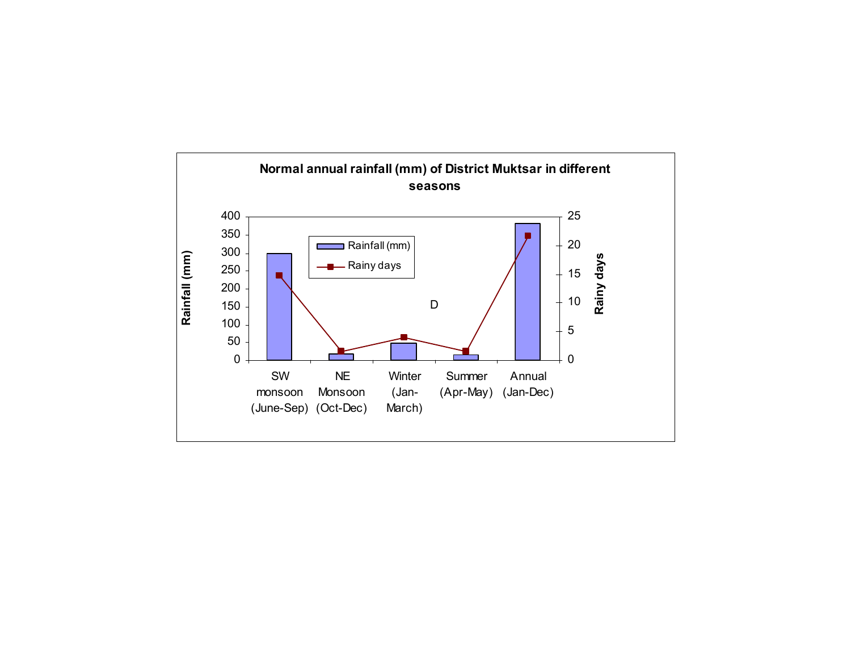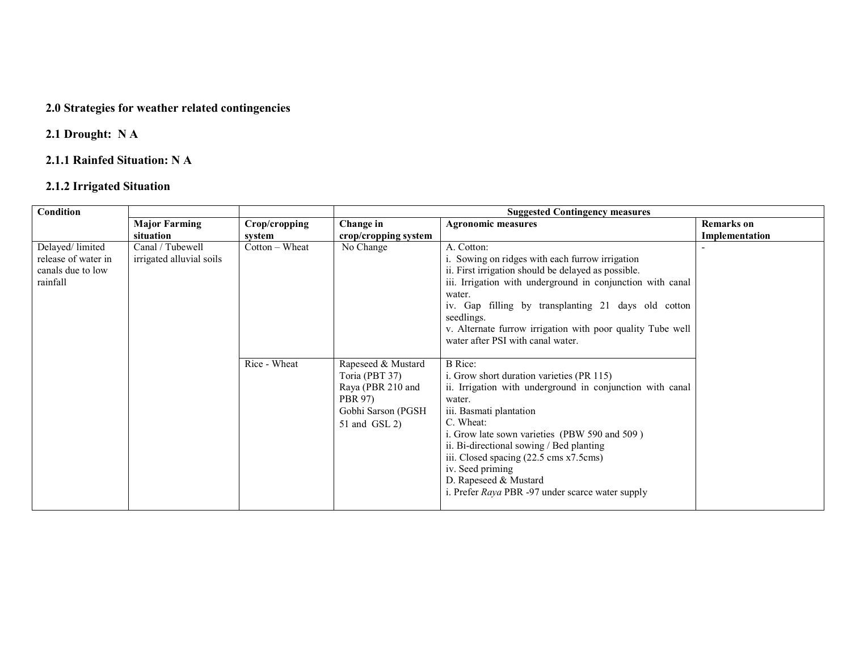#### 2.0 Strategies for weather related contingencies

### 2.1 Drought: N A

### 2.1.1 Rainfed Situation: N A

### 2.1.2 Irrigated Situation

| Condition                                                               |                                              |                | <b>Suggested Contingency measures</b>                                                                                 |                                                                                                                                                                                                                                                                                                                                                                                                                     |                   |  |
|-------------------------------------------------------------------------|----------------------------------------------|----------------|-----------------------------------------------------------------------------------------------------------------------|---------------------------------------------------------------------------------------------------------------------------------------------------------------------------------------------------------------------------------------------------------------------------------------------------------------------------------------------------------------------------------------------------------------------|-------------------|--|
|                                                                         | <b>Major Farming</b>                         | Crop/cropping  | Change in                                                                                                             | <b>Agronomic measures</b>                                                                                                                                                                                                                                                                                                                                                                                           | <b>Remarks</b> on |  |
|                                                                         | situation                                    | system         | crop/cropping system                                                                                                  |                                                                                                                                                                                                                                                                                                                                                                                                                     | Implementation    |  |
| Delayed/limited<br>release of water in<br>canals due to low<br>rainfall | Canal / Tubewell<br>irrigated alluvial soils | Cotton - Wheat | No Change                                                                                                             | A. Cotton:<br>i. Sowing on ridges with each furrow irrigation<br>ii. First irrigation should be delayed as possible.<br>iii. Irrigation with underground in conjunction with canal                                                                                                                                                                                                                                  |                   |  |
|                                                                         |                                              |                |                                                                                                                       | water.<br>iv. Gap filling by transplanting 21 days old cotton<br>seedlings.                                                                                                                                                                                                                                                                                                                                         |                   |  |
|                                                                         |                                              |                |                                                                                                                       | v. Alternate furrow irrigation with poor quality Tube well<br>water after PSI with canal water.                                                                                                                                                                                                                                                                                                                     |                   |  |
|                                                                         |                                              | Rice - Wheat   | Rapeseed & Mustard<br>Toria (PBT 37)<br>Raya (PBR 210 and<br><b>PBR 97)</b><br>Gobhi Sarson (PGSH)<br>$51$ and GSL 2) | <b>B</b> Rice:<br>i. Grow short duration varieties (PR 115)<br>ii. Irrigation with underground in conjunction with canal<br>water.<br>iii. Basmati plantation<br>C. Wheat:<br>i. Grow late sown varieties (PBW 590 and 509)<br>ii. Bi-directional sowing / Bed planting<br>iii. Closed spacing (22.5 cms x7.5 cms)<br>iv. Seed priming<br>D. Rapeseed & Mustard<br>i. Prefer Raya PBR -97 under scarce water supply |                   |  |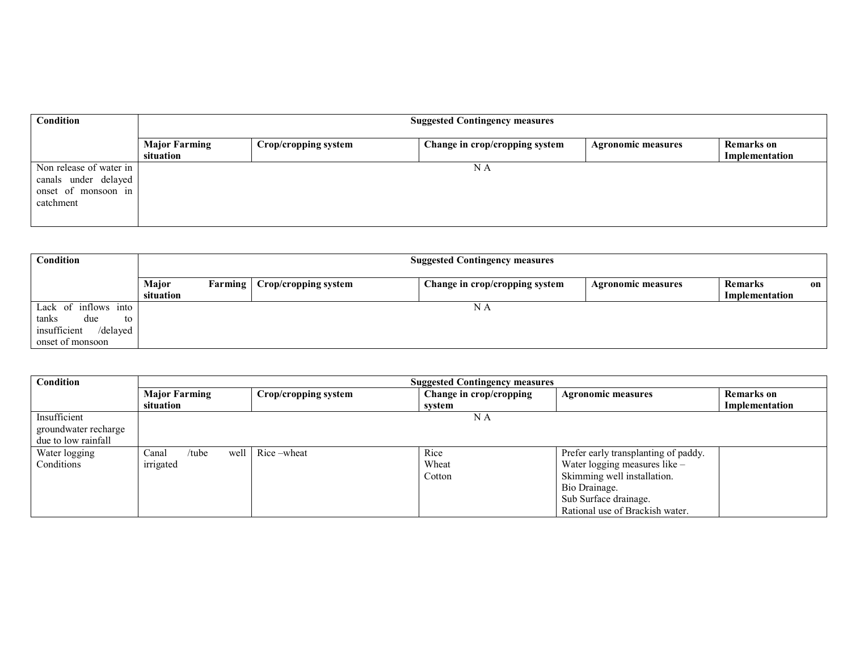| Condition                                                                           |                                   | <b>Suggested Contingency measures</b> |                                |                           |                                     |  |  |  |  |
|-------------------------------------------------------------------------------------|-----------------------------------|---------------------------------------|--------------------------------|---------------------------|-------------------------------------|--|--|--|--|
|                                                                                     | <b>Major Farming</b><br>situation | Crop/cropping system                  | Change in crop/cropping system | <b>Agronomic measures</b> | <b>Remarks</b> on<br>Implementation |  |  |  |  |
| Non release of water in<br>canals under delayed<br>onset of monsoon in<br>catchment |                                   |                                       | N A                            |                           |                                     |  |  |  |  |

| Condition                                                                                  |                                      | <b>Suggested Contingency measures</b> |                                |                           |                                        |  |  |  |  |
|--------------------------------------------------------------------------------------------|--------------------------------------|---------------------------------------|--------------------------------|---------------------------|----------------------------------------|--|--|--|--|
|                                                                                            | Major<br><b>Farming</b><br>situation | Crop/cropping system                  | Change in crop/cropping system | <b>Agronomic measures</b> | <b>Remarks</b><br>on<br>Implementation |  |  |  |  |
| Lack of inflows into<br>tanks<br>due<br>to<br>insufficient<br>/delayed<br>onset of monsoon |                                      |                                       | N A                            |                           |                                        |  |  |  |  |

| <b>Condition</b>                     | <b>Suggested Contingency measures</b> |                      |                                                      |                                      |                   |
|--------------------------------------|---------------------------------------|----------------------|------------------------------------------------------|--------------------------------------|-------------------|
|                                      | <b>Major Farming</b>                  | Crop/cropping system | Change in crop/cropping<br><b>Agronomic measures</b> |                                      | <b>Remarks</b> on |
|                                      | situation                             |                      | svstem                                               |                                      | Implementation    |
| Insufficient<br>groundwater recharge |                                       |                      | N A                                                  |                                      |                   |
| due to low rainfall                  |                                       |                      |                                                      |                                      |                   |
| Water logging                        | Canal<br>/tube<br>well                | Rice-wheat           | Rice                                                 | Prefer early transplanting of paddy. |                   |
| Conditions                           | irrigated                             |                      | Wheat                                                | Water logging measures like –        |                   |
|                                      |                                       |                      | Cotton                                               | Skimming well installation.          |                   |
|                                      |                                       |                      |                                                      | Bio Drainage.                        |                   |
|                                      |                                       |                      |                                                      | Sub Surface drainage.                |                   |
|                                      |                                       |                      |                                                      | Rational use of Brackish water.      |                   |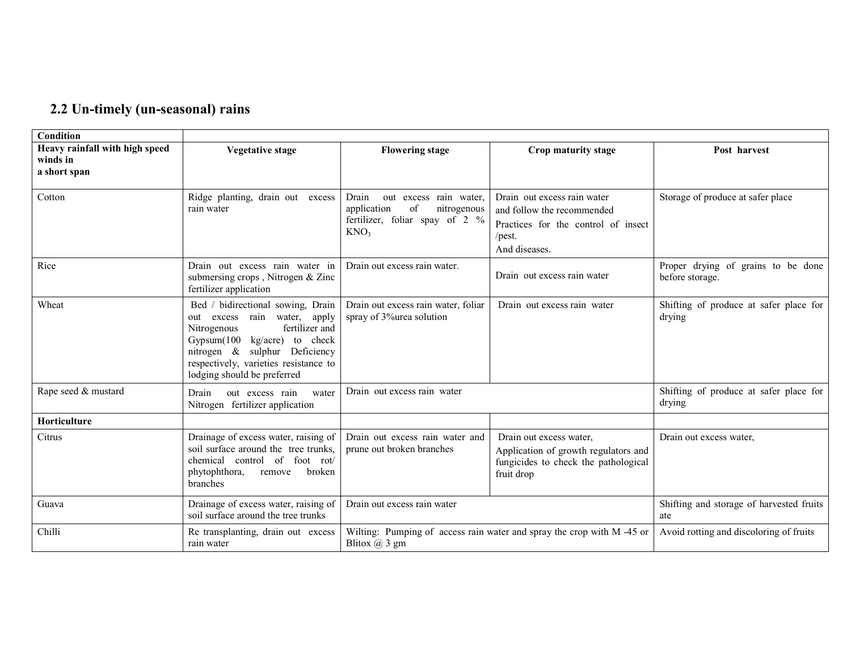### 2.2 Un-timely (un-seasonal) rains

| Condition                                                  |                                                                                                                                                                                                                                                            |                                                                                                                           |                                                                                                                                |                                                       |  |  |
|------------------------------------------------------------|------------------------------------------------------------------------------------------------------------------------------------------------------------------------------------------------------------------------------------------------------------|---------------------------------------------------------------------------------------------------------------------------|--------------------------------------------------------------------------------------------------------------------------------|-------------------------------------------------------|--|--|
| Heavy rainfall with high speed<br>winds in<br>a short span | <b>Vegetative stage</b>                                                                                                                                                                                                                                    | <b>Flowering stage</b>                                                                                                    | Crop maturity stage                                                                                                            | Post harvest                                          |  |  |
| Cotton                                                     | Ridge planting, drain out excess<br>rain water                                                                                                                                                                                                             | Drain<br>out excess rain water,<br>application<br>of<br>nitrogenous<br>fertilizer, foliar spay of 2 %<br>KNO <sub>3</sub> | Drain out excess rain water<br>and follow the recommended<br>Practices for the control of insect<br>$/$ pest.<br>And diseases. | Storage of produce at safer place                     |  |  |
| Rice                                                       | Drain out excess rain water in<br>submersing crops, Nitrogen & Zinc<br>fertilizer application                                                                                                                                                              | Drain out excess rain water.                                                                                              | Drain out excess rain water                                                                                                    | Proper drying of grains to be done<br>before storage. |  |  |
| Wheat                                                      | Bed / bidirectional sowing, Drain<br>rain water, apply<br>excess<br>out<br>fertilizer and<br>Nitrogenous<br>kg/acre) to check<br>Gypsum(100<br>nitrogen $\&$<br>sulphur Deficiency<br>respectively, varieties resistance to<br>lodging should be preferred | Drain out excess rain water, foliar<br>spray of 3% urea solution                                                          | Drain out excess rain water                                                                                                    | Shifting of produce at safer place for<br>drying      |  |  |
| Rape seed & mustard                                        | Drain<br>out excess rain<br>water<br>Nitrogen fertilizer application                                                                                                                                                                                       | Drain out excess rain water                                                                                               |                                                                                                                                | Shifting of produce at safer place for<br>drying      |  |  |
| Horticulture                                               |                                                                                                                                                                                                                                                            |                                                                                                                           |                                                                                                                                |                                                       |  |  |
| Citrus                                                     | Drainage of excess water, raising of<br>soil surface around the tree trunks,<br>chemical control of foot rot/<br>phytophthora,<br>broken<br>remove<br>branches                                                                                             | Drain out excess rain water and<br>prune out broken branches                                                              | Drain out excess water,<br>Application of growth regulators and<br>fungicides to check the pathological<br>fruit drop          | Drain out excess water,                               |  |  |
| Guava                                                      | Drainage of excess water, raising of<br>soil surface around the tree trunks                                                                                                                                                                                | Drain out excess rain water                                                                                               |                                                                                                                                | Shifting and storage of harvested fruits<br>ate       |  |  |
| Chilli                                                     | Re transplanting, drain out excess<br>rain water                                                                                                                                                                                                           | Blitox $(a)$ 3 gm                                                                                                         | Wilting: Pumping of access rain water and spray the crop with M-45 or                                                          | Avoid rotting and discoloring of fruits               |  |  |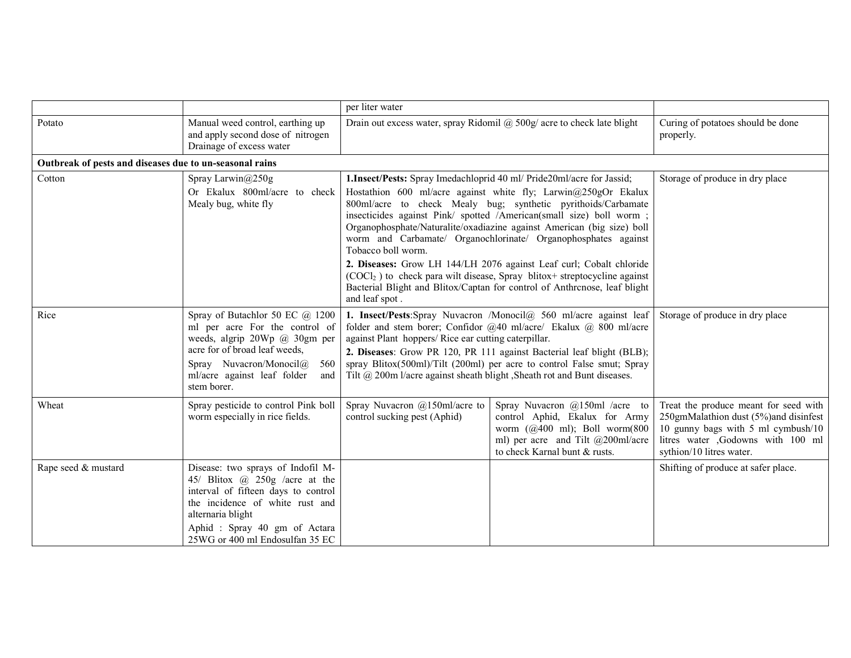|                                                         |                                                                                                                                                                                                                                       | per liter water                                                                                                                                                                                                                                                                                                                                                                                                                                                                                                                                                                                                                                                                      |                                                                                                                                                                         |                                                                                                                                                                                       |  |                                 |
|---------------------------------------------------------|---------------------------------------------------------------------------------------------------------------------------------------------------------------------------------------------------------------------------------------|--------------------------------------------------------------------------------------------------------------------------------------------------------------------------------------------------------------------------------------------------------------------------------------------------------------------------------------------------------------------------------------------------------------------------------------------------------------------------------------------------------------------------------------------------------------------------------------------------------------------------------------------------------------------------------------|-------------------------------------------------------------------------------------------------------------------------------------------------------------------------|---------------------------------------------------------------------------------------------------------------------------------------------------------------------------------------|--|---------------------------------|
| Potato                                                  | Manual weed control, earthing up<br>and apply second dose of nitrogen<br>Drainage of excess water                                                                                                                                     | Drain out excess water, spray Ridomil $\omega$ 500g/ acre to check late blight                                                                                                                                                                                                                                                                                                                                                                                                                                                                                                                                                                                                       | Curing of potatoes should be done<br>properly.                                                                                                                          |                                                                                                                                                                                       |  |                                 |
| Outbreak of pests and diseases due to un-seasonal rains |                                                                                                                                                                                                                                       |                                                                                                                                                                                                                                                                                                                                                                                                                                                                                                                                                                                                                                                                                      |                                                                                                                                                                         |                                                                                                                                                                                       |  |                                 |
| Cotton                                                  | Spray Larwin@250g<br>Or Ekalux 800ml/acre to check<br>Mealy bug, white fly                                                                                                                                                            | 1. Insect/Pests: Spray Imedachloprid 40 ml/ Pride20ml/acre for Jassid;<br>Hostathion 600 ml/acre against white fly; Larwin@250gOr Ekalux<br>800ml/acre to check Mealy bug; synthetic pyrithoids/Carbamate<br>insecticides against Pink/ spotted /American(small size) boll worm;<br>Organophosphate/Naturalite/oxadiazine against American (big size) boll<br>worm and Carbamate/ Organochlorinate/ Organophosphates against<br>Tobacco boll worm.<br>2. Diseases: Grow LH 144/LH 2076 against Leaf curl; Cobalt chloride<br>$(COCl2)$ to check para wilt disease, Spray blitox+ streptocycline against<br>Bacterial Blight and Blitox/Captan for control of Anthrcnose, leaf blight |                                                                                                                                                                         | and leaf spot.                                                                                                                                                                        |  | Storage of produce in dry place |
| Rice                                                    | Spray of Butachlor 50 EC $\omega$ 1200<br>ml per acre For the control of<br>weeds, algrip 20Wp @ 30gm per<br>acre for of broad leaf weeds,<br>Spray Nuvacron/Monocil@<br>560<br>ml/acre against leaf folder<br>and<br>stem borer.     | 1. Insect/Pests:Spray Nuvacron /Monocil@ 560 ml/acre against leaf<br>folder and stem borer; Confidor @40 ml/acre/ Ekalux @ 800 ml/acre<br>against Plant hoppers/ Rice ear cutting caterpillar.<br>2. Diseases: Grow PR 120, PR 111 against Bacterial leaf blight (BLB);<br>spray Blitox(500ml)/Tilt (200ml) per acre to control False smut; Spray<br>Tilt @ 200m l/acre against sheath blight , Sheath rot and Bunt diseases.                                                                                                                                                                                                                                                        |                                                                                                                                                                         | Storage of produce in dry place                                                                                                                                                       |  |                                 |
| Wheat                                                   | Spray pesticide to control Pink boll<br>worm especially in rice fields.                                                                                                                                                               | Spray Nuvacron $@150$ ml/acre to<br>control sucking pest (Aphid)                                                                                                                                                                                                                                                                                                                                                                                                                                                                                                                                                                                                                     | Spray Nuvacron @150ml /acre to<br>control Aphid, Ekalux for Army<br>worm (@400 ml); Boll worm(800<br>ml) per acre and Tilt @200ml/acre<br>to check Karnal bunt & rusts. | Treat the produce meant for seed with<br>250gmMalathion dust (5%)and disinfest<br>10 gunny bags with 5 ml cymbush/10<br>litres water ,Godowns with 100 ml<br>sythion/10 litres water. |  |                                 |
| Rape seed & mustard                                     | Disease: two sprays of Indofil M-<br>45/ Blitox @ 250g /acre at the<br>interval of fifteen days to control<br>the incidence of white rust and<br>alternaria blight<br>Aphid: Spray 40 gm of Actara<br>25WG or 400 ml Endosulfan 35 EC |                                                                                                                                                                                                                                                                                                                                                                                                                                                                                                                                                                                                                                                                                      |                                                                                                                                                                         | Shifting of produce at safer place.                                                                                                                                                   |  |                                 |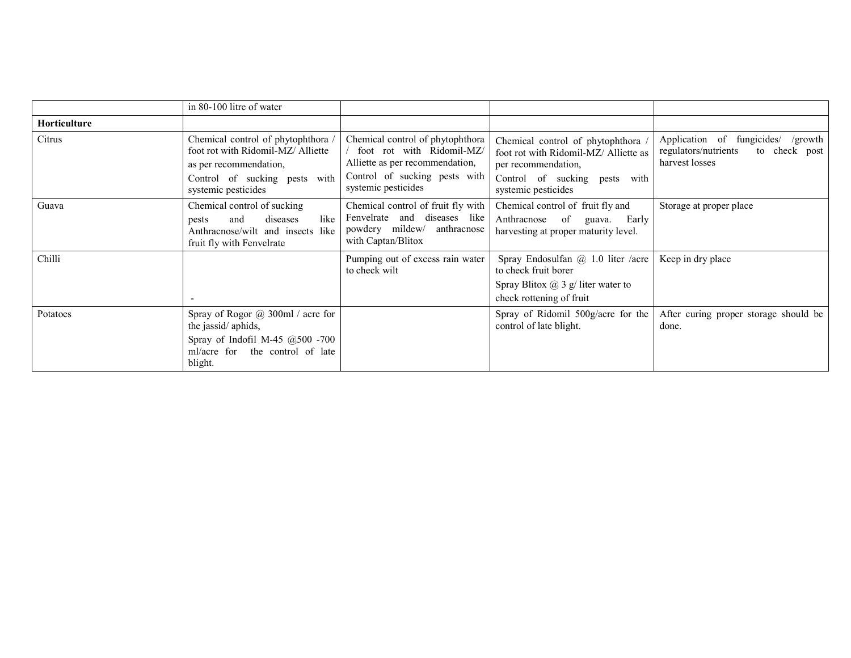|              | in 80-100 litre of water                                                                                                                                  |                                                                                                                                                          |                                                                                                                                                            |                                                                                                  |
|--------------|-----------------------------------------------------------------------------------------------------------------------------------------------------------|----------------------------------------------------------------------------------------------------------------------------------------------------------|------------------------------------------------------------------------------------------------------------------------------------------------------------|--------------------------------------------------------------------------------------------------|
| Horticulture |                                                                                                                                                           |                                                                                                                                                          |                                                                                                                                                            |                                                                                                  |
| Citrus       | Chemical control of phytophthora /<br>foot rot with Ridomil-MZ/Alliette<br>as per recommendation,<br>Control of sucking pests with<br>systemic pesticides | Chemical control of phytophthora<br>foot rot with Ridomil-MZ/<br>Alliette as per recommendation,<br>Control of sucking pests with<br>systemic pesticides | Chemical control of phytophthora /<br>foot rot with Ridomil-MZ/ Alliette as<br>per recommendation,<br>Control of sucking pests with<br>systemic pesticides | Application of fungicides/<br>/growth<br>regulators/nutrients<br>to check post<br>harvest losses |
| Guava        | Chemical control of sucking<br>diseases<br>like<br>and<br>pests<br>Anthracnose/wilt and insects like<br>fruit fly with Fenvelrate                         | Chemical control of fruit fly with<br>Fenvelrate and diseases like<br>powdery mildew/ anthracnose<br>with Captan/Blitox                                  | Chemical control of fruit fly and<br>Anthracnose of guava.<br>Early<br>harvesting at proper maturity level.                                                | Storage at proper place                                                                          |
| Chilli       |                                                                                                                                                           | Pumping out of excess rain water<br>to check wilt                                                                                                        | Spray Endosulfan $(a)$ 1.0 liter /acre<br>to check fruit borer<br>Spray Blitox $\omega$ 3 g/ liter water to<br>check rottening of fruit                    | Keep in dry place                                                                                |
| Potatoes     | Spray of Rogor $\omega$ 300ml / acre for<br>the jassid/aphids,<br>Spray of Indofil M-45 $@500 -700$<br>ml/acre for the control of late<br>blight.         |                                                                                                                                                          | Spray of Ridomil 500g/acre for the<br>control of late blight.                                                                                              | After curing proper storage should be<br>done.                                                   |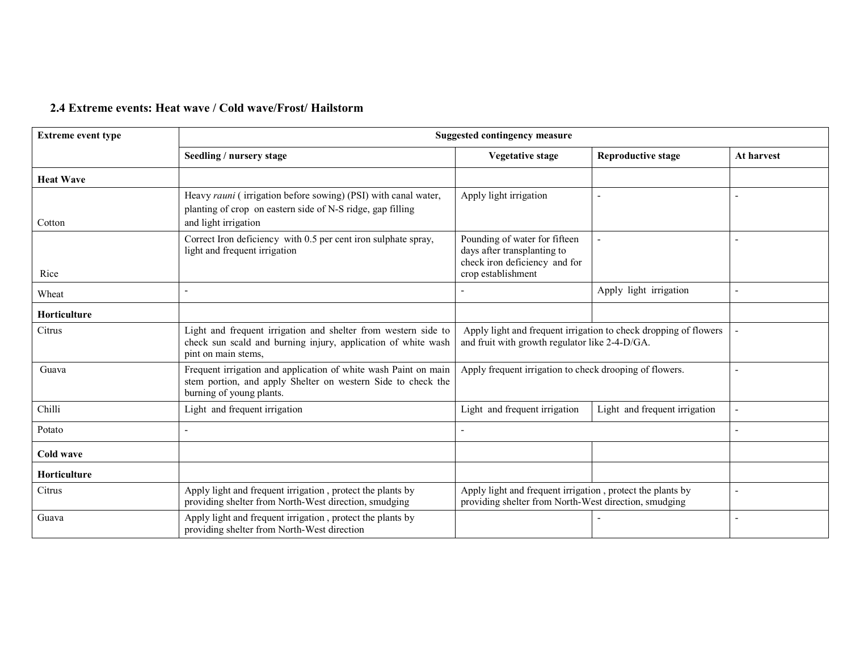### 2.4 Extreme events: Heat wave / Cold wave/Frost/ Hailstorm

| <b>Extreme event type</b> |                                                                                                                                                                                                                        | <b>Suggested contingency measure</b>                                                                                |                               |            |  |
|---------------------------|------------------------------------------------------------------------------------------------------------------------------------------------------------------------------------------------------------------------|---------------------------------------------------------------------------------------------------------------------|-------------------------------|------------|--|
|                           | Seedling / nursery stage                                                                                                                                                                                               | <b>Reproductive stage</b><br><b>Vegetative stage</b>                                                                |                               | At harvest |  |
| <b>Heat Wave</b>          |                                                                                                                                                                                                                        |                                                                                                                     |                               |            |  |
| Cotton                    | Heavy rauni (irrigation before sowing) (PSI) with canal water,<br>Apply light irrigation<br>planting of crop on eastern side of N-S ridge, gap filling<br>and light irrigation                                         |                                                                                                                     |                               |            |  |
| Rice                      | Correct Iron deficiency with 0.5 per cent iron sulphate spray,<br>Pounding of water for fifteen<br>light and frequent irrigation<br>days after transplanting to<br>check iron deficiency and for<br>crop establishment |                                                                                                                     |                               |            |  |
| Wheat                     |                                                                                                                                                                                                                        | Apply light irrigation                                                                                              |                               |            |  |
| <b>Horticulture</b>       |                                                                                                                                                                                                                        |                                                                                                                     |                               |            |  |
| Citrus                    | Light and frequent irrigation and shelter from western side to<br>check sun scald and burning injury, application of white wash<br>pint on main stems,                                                                 | Apply light and frequent irrigation to check dropping of flowers<br>and fruit with growth regulator like 2-4-D/GA.  |                               |            |  |
| Guava                     | Frequent irrigation and application of white wash Paint on main<br>stem portion, and apply Shelter on western Side to check the<br>burning of young plants.                                                            | Apply frequent irrigation to check drooping of flowers.                                                             |                               |            |  |
| Chilli                    | Light and frequent irrigation                                                                                                                                                                                          | Light and frequent irrigation                                                                                       | Light and frequent irrigation |            |  |
| Potato                    |                                                                                                                                                                                                                        |                                                                                                                     |                               |            |  |
| Cold wave                 |                                                                                                                                                                                                                        |                                                                                                                     |                               |            |  |
| Horticulture              |                                                                                                                                                                                                                        |                                                                                                                     |                               |            |  |
| Citrus                    | Apply light and frequent irrigation, protect the plants by<br>providing shelter from North-West direction, smudging                                                                                                    | Apply light and frequent irrigation, protect the plants by<br>providing shelter from North-West direction, smudging |                               |            |  |
| Guava                     | Apply light and frequent irrigation, protect the plants by<br>providing shelter from North-West direction                                                                                                              |                                                                                                                     |                               |            |  |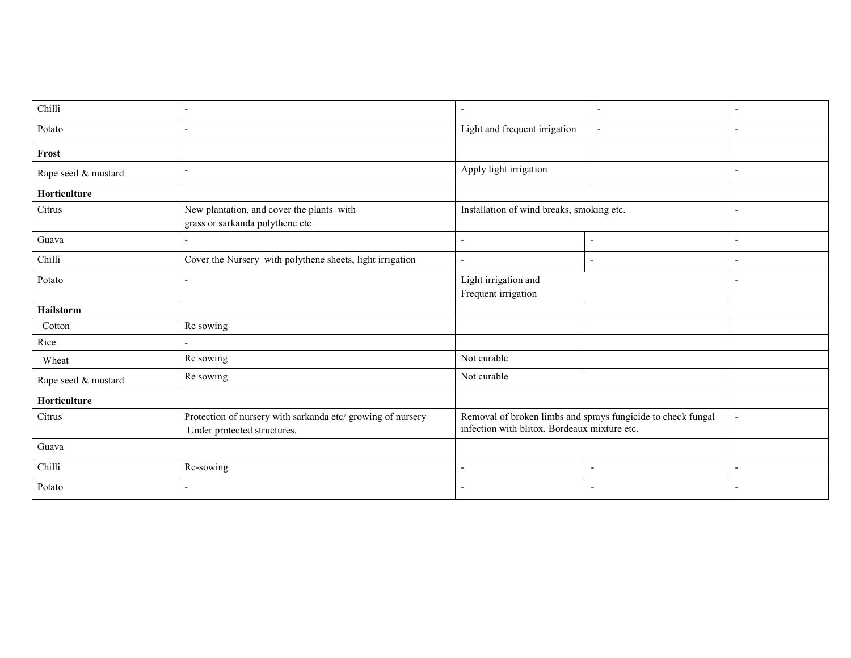| Chilli              | $\blacksquare$                                                                             | $\overline{\phantom{a}}$<br>$\overline{\phantom{a}}$ |                                                              | $\overline{\phantom{a}}$ |
|---------------------|--------------------------------------------------------------------------------------------|------------------------------------------------------|--------------------------------------------------------------|--------------------------|
| Potato              | $\overline{\phantom{a}}$                                                                   | Light and frequent irrigation                        |                                                              |                          |
| Frost               |                                                                                            |                                                      |                                                              |                          |
| Rape seed & mustard | $\overline{\phantom{a}}$                                                                   | Apply light irrigation                               |                                                              | ٠                        |
| Horticulture        |                                                                                            |                                                      |                                                              |                          |
| Citrus              | New plantation, and cover the plants with<br>grass or sarkanda polythene etc               | Installation of wind breaks, smoking etc.            |                                                              | $\blacksquare$           |
| Guava               | $\overline{\phantom{a}}$                                                                   | $\sim$                                               | $\overline{\phantom{a}}$                                     | $\overline{\phantom{a}}$ |
| Chilli              | Cover the Nursery with polythene sheets, light irrigation                                  | $\overline{a}$                                       | $\blacksquare$                                               | $\overline{\phantom{a}}$ |
| Potato              | $\overline{\phantom{a}}$                                                                   | Light irrigation and<br>Frequent irrigation          |                                                              | ٠                        |
| <b>Hailstorm</b>    |                                                                                            |                                                      |                                                              |                          |
| Cotton              | Re sowing                                                                                  |                                                      |                                                              |                          |
| Rice                |                                                                                            |                                                      |                                                              |                          |
| Wheat               | Re sowing                                                                                  | Not curable                                          |                                                              |                          |
| Rape seed & mustard | Re sowing                                                                                  | Not curable                                          |                                                              |                          |
| Horticulture        |                                                                                            |                                                      |                                                              |                          |
| Citrus              | Protection of nursery with sarkanda etc/ growing of nursery<br>Under protected structures. | infection with blitox, Bordeaux mixture etc.         | Removal of broken limbs and sprays fungicide to check fungal | $\blacksquare$           |
| Guava               |                                                                                            |                                                      |                                                              |                          |
| Chilli              | Re-sowing                                                                                  | $\overline{\phantom{a}}$                             |                                                              |                          |
| Potato              | $\overline{\phantom{a}}$                                                                   | $\overline{\phantom{a}}$                             | $\overline{\phantom{a}}$                                     | $\overline{\phantom{a}}$ |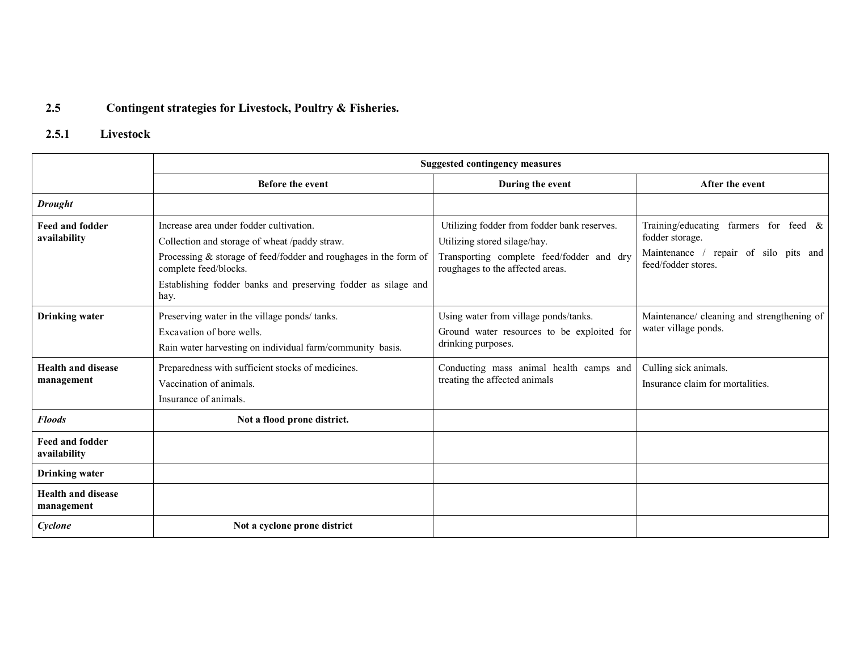### 2.5 Contingent strategies for Livestock, Poultry & Fisheries.

### 2.5.1 Livestock

|                                         | <b>Suggested contingency measures</b>                                                                                                                                                                                                                            |                                                                                                                                                              |                                                                                                                                |  |
|-----------------------------------------|------------------------------------------------------------------------------------------------------------------------------------------------------------------------------------------------------------------------------------------------------------------|--------------------------------------------------------------------------------------------------------------------------------------------------------------|--------------------------------------------------------------------------------------------------------------------------------|--|
|                                         | <b>Before the event</b>                                                                                                                                                                                                                                          | During the event                                                                                                                                             | After the event                                                                                                                |  |
| <b>Drought</b>                          |                                                                                                                                                                                                                                                                  |                                                                                                                                                              |                                                                                                                                |  |
| <b>Feed and fodder</b><br>availability  | Increase area under fodder cultivation.<br>Collection and storage of wheat /paddy straw.<br>Processing $&$ storage of feed/fodder and roughages in the form of<br>complete feed/blocks.<br>Establishing fodder banks and preserving fodder as silage and<br>hay. | Utilizing fodder from fodder bank reserves.<br>Utilizing stored silage/hay.<br>Transporting complete feed/fodder and dry<br>roughages to the affected areas. | Training/educating<br>farmers for feed $\&$<br>fodder storage.<br>Maintenance / repair of silo pits and<br>feed/fodder stores. |  |
| <b>Drinking</b> water                   | Preserving water in the village ponds/tanks.<br>Excavation of bore wells.<br>Rain water harvesting on individual farm/community basis.                                                                                                                           | Using water from village ponds/tanks.<br>Ground water resources to be exploited for<br>drinking purposes.                                                    | Maintenance/ cleaning and strengthening of<br>water village ponds.                                                             |  |
| <b>Health and disease</b><br>management | Preparedness with sufficient stocks of medicines.<br>Vaccination of animals.<br>Insurance of animals.                                                                                                                                                            | Conducting mass animal health camps and<br>treating the affected animals                                                                                     | Culling sick animals.<br>Insurance claim for mortalities.                                                                      |  |
| <b>Floods</b>                           | Not a flood prone district.                                                                                                                                                                                                                                      |                                                                                                                                                              |                                                                                                                                |  |
| <b>Feed and fodder</b><br>availability  |                                                                                                                                                                                                                                                                  |                                                                                                                                                              |                                                                                                                                |  |
| <b>Drinking water</b>                   |                                                                                                                                                                                                                                                                  |                                                                                                                                                              |                                                                                                                                |  |
| <b>Health and disease</b><br>management |                                                                                                                                                                                                                                                                  |                                                                                                                                                              |                                                                                                                                |  |
| Cyclone                                 | Not a cyclone prone district                                                                                                                                                                                                                                     |                                                                                                                                                              |                                                                                                                                |  |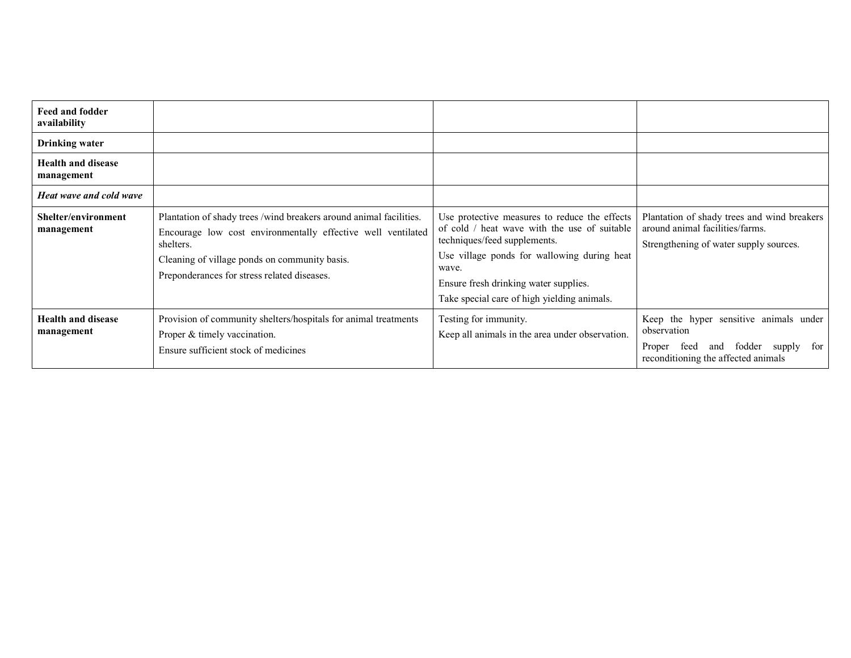| <b>Feed and fodder</b><br>availability  |                                                                                                                                                                                                                                                 |                                                                                                                                                                                                                                                                               |                                                                                                                                         |
|-----------------------------------------|-------------------------------------------------------------------------------------------------------------------------------------------------------------------------------------------------------------------------------------------------|-------------------------------------------------------------------------------------------------------------------------------------------------------------------------------------------------------------------------------------------------------------------------------|-----------------------------------------------------------------------------------------------------------------------------------------|
| <b>Drinking water</b>                   |                                                                                                                                                                                                                                                 |                                                                                                                                                                                                                                                                               |                                                                                                                                         |
| <b>Health and disease</b><br>management |                                                                                                                                                                                                                                                 |                                                                                                                                                                                                                                                                               |                                                                                                                                         |
| <b>Heat wave and cold wave</b>          |                                                                                                                                                                                                                                                 |                                                                                                                                                                                                                                                                               |                                                                                                                                         |
| Shelter/environment<br>management       | Plantation of shady trees /wind breakers around animal facilities.<br>Encourage low cost environmentally effective well ventilated<br>shelters.<br>Cleaning of village ponds on community basis.<br>Preponderances for stress related diseases. | Use protective measures to reduce the effects<br>of cold / heat wave with the use of suitable<br>techniques/feed supplements.<br>Use village ponds for wallowing during heat<br>wave.<br>Ensure fresh drinking water supplies.<br>Take special care of high yielding animals. | Plantation of shady trees and wind breakers<br>around animal facilities/farms.<br>Strengthening of water supply sources.                |
| <b>Health and disease</b><br>management | Provision of community shelters/hospitals for animal treatments<br>Proper & timely vaccination.<br>Ensure sufficient stock of medicines                                                                                                         | Testing for immunity.<br>Keep all animals in the area under observation.                                                                                                                                                                                                      | Keep the hyper sensitive animals under<br>observation<br>and fodder supply for<br>feed<br>Proper<br>reconditioning the affected animals |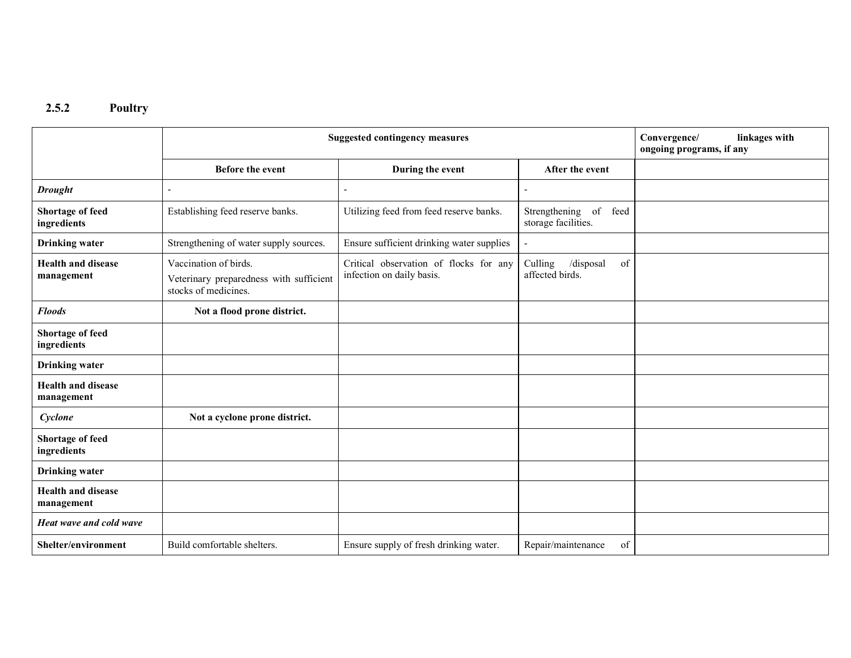2.5.2 Poultry

|                                         | <b>Suggested contingency measures</b>                                                    |                                                                     |                                               | linkages with<br>Convergence/<br>ongoing programs, if any |
|-----------------------------------------|------------------------------------------------------------------------------------------|---------------------------------------------------------------------|-----------------------------------------------|-----------------------------------------------------------|
|                                         | <b>Before the event</b>                                                                  | During the event                                                    | After the event                               |                                                           |
| <b>Drought</b>                          |                                                                                          |                                                                     |                                               |                                                           |
| <b>Shortage of feed</b><br>ingredients  | Establishing feed reserve banks.                                                         | Utilizing feed from feed reserve banks.                             | Strengthening of feed<br>storage facilities.  |                                                           |
| <b>Drinking</b> water                   | Strengthening of water supply sources.                                                   | Ensure sufficient drinking water supplies                           |                                               |                                                           |
| <b>Health and disease</b><br>management | Vaccination of birds.<br>Veterinary preparedness with sufficient<br>stocks of medicines. | Critical observation of flocks for any<br>infection on daily basis. | /disposal<br>of<br>Culling<br>affected birds. |                                                           |
| <b>Floods</b>                           | Not a flood prone district.                                                              |                                                                     |                                               |                                                           |
| Shortage of feed<br>ingredients         |                                                                                          |                                                                     |                                               |                                                           |
| <b>Drinking</b> water                   |                                                                                          |                                                                     |                                               |                                                           |
| <b>Health and disease</b><br>management |                                                                                          |                                                                     |                                               |                                                           |
| Cyclone                                 | Not a cyclone prone district.                                                            |                                                                     |                                               |                                                           |
| Shortage of feed<br>ingredients         |                                                                                          |                                                                     |                                               |                                                           |
| <b>Drinking</b> water                   |                                                                                          |                                                                     |                                               |                                                           |
| <b>Health and disease</b><br>management |                                                                                          |                                                                     |                                               |                                                           |
| Heat wave and cold wave                 |                                                                                          |                                                                     |                                               |                                                           |
| Shelter/environment                     | Build comfortable shelters.                                                              | Ensure supply of fresh drinking water.                              | Repair/maintenance<br>of                      |                                                           |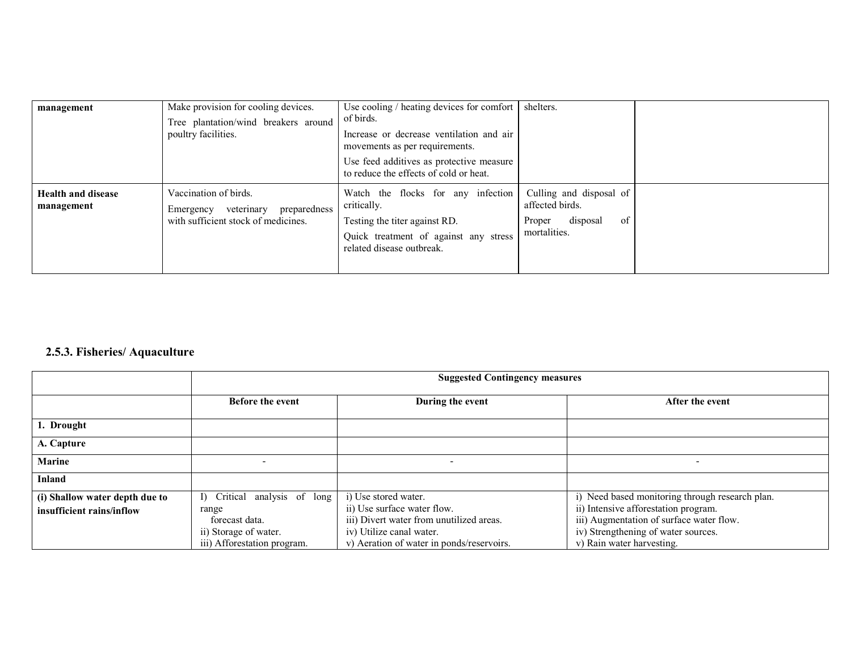| management                              | Make provision for cooling devices.<br>Tree plantation/wind breakers around<br>poultry facilities.      | Use cooling $/$ heating devices for comfort $ $<br>of birds.<br>Increase or decrease ventilation and air<br>movements as per requirements.<br>Use feed additives as protective measure<br>to reduce the effects of cold or heat. | shelters.                                                                              |  |
|-----------------------------------------|---------------------------------------------------------------------------------------------------------|----------------------------------------------------------------------------------------------------------------------------------------------------------------------------------------------------------------------------------|----------------------------------------------------------------------------------------|--|
| <b>Health and disease</b><br>management | Vaccination of birds.<br>veterinary<br>preparedness<br>Emergency<br>with sufficient stock of medicines. | Watch the flocks for any infection<br>critically.<br>Testing the titer against RD.<br>Quick treatment of against any stress<br>related disease outbreak.                                                                         | Culling and disposal of<br>affected birds.<br>of<br>disposal<br>Proper<br>mortalities. |  |

#### 2.5.3. Fisheries/ Aquaculture

|                                | <b>Suggested Contingency measures</b> |                                           |                                                 |
|--------------------------------|---------------------------------------|-------------------------------------------|-------------------------------------------------|
|                                | <b>Before the event</b>               | During the event                          | After the event                                 |
| 1. Drought                     |                                       |                                           |                                                 |
| A. Capture                     |                                       |                                           |                                                 |
| <b>Marine</b>                  |                                       | $\qquad \qquad \blacksquare$              | $\overline{\phantom{0}}$                        |
| Inland                         |                                       |                                           |                                                 |
| (i) Shallow water depth due to | Critical analysis of long<br>D.       | i) Use stored water.                      | i) Need based monitoring through research plan. |
| insufficient rains/inflow      | range                                 | ii) Use surface water flow.               | ii) Intensive afforestation program.            |
|                                | forecast data.                        | iii) Divert water from unutilized areas.  | iii) Augmentation of surface water flow.        |
|                                | ii) Storage of water.                 | iv) Utilize canal water.                  | iv) Strengthening of water sources.             |
|                                | iii) Afforestation program.           | v) Aeration of water in ponds/reservoirs. | v) Rain water harvesting.                       |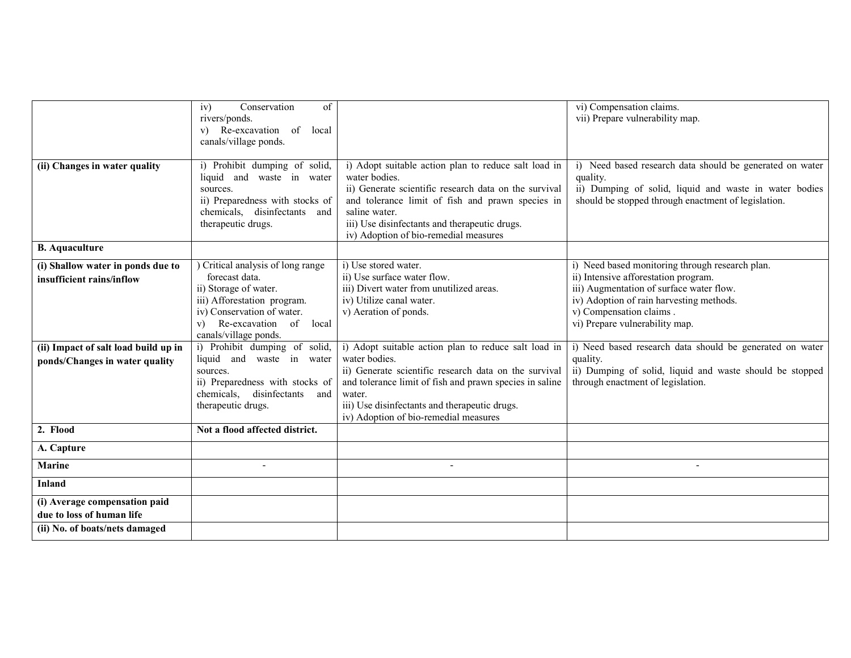|                                                                                                                                          | Conservation<br>of<br>iv)<br>rivers/ponds.<br>v) Re-excavation of local<br>canals/village ponds.                                                                                                                                                                                                                                                                            |                                                                                                                                                                                                                                                                                                                                                                                                                                                       | vi) Compensation claims.<br>vii) Prepare vulnerability map.                                                                                                                                                                                                                                                                                                                                                           |
|------------------------------------------------------------------------------------------------------------------------------------------|-----------------------------------------------------------------------------------------------------------------------------------------------------------------------------------------------------------------------------------------------------------------------------------------------------------------------------------------------------------------------------|-------------------------------------------------------------------------------------------------------------------------------------------------------------------------------------------------------------------------------------------------------------------------------------------------------------------------------------------------------------------------------------------------------------------------------------------------------|-----------------------------------------------------------------------------------------------------------------------------------------------------------------------------------------------------------------------------------------------------------------------------------------------------------------------------------------------------------------------------------------------------------------------|
| (ii) Changes in water quality                                                                                                            | i) Prohibit dumping of solid,<br>liquid and waste in water<br>sources.<br>ii) Preparedness with stocks of<br>chemicals, disinfectants<br>and<br>therapeutic drugs.                                                                                                                                                                                                          | i) Adopt suitable action plan to reduce salt load in<br>water bodies.<br>ii) Generate scientific research data on the survival<br>and tolerance limit of fish and prawn species in<br>saline water.<br>iii) Use disinfectants and therapeutic drugs.<br>iv) Adoption of bio-remedial measures                                                                                                                                                         | i) Need based research data should be generated on water<br>quality.<br>ii) Dumping of solid, liquid and waste in water bodies<br>should be stopped through enactment of legislation.                                                                                                                                                                                                                                 |
| <b>B.</b> Aquaculture                                                                                                                    |                                                                                                                                                                                                                                                                                                                                                                             |                                                                                                                                                                                                                                                                                                                                                                                                                                                       |                                                                                                                                                                                                                                                                                                                                                                                                                       |
| (i) Shallow water in ponds due to<br>insufficient rains/inflow<br>(ii) Impact of salt load build up in<br>ponds/Changes in water quality | ) Critical analysis of long range<br>forecast data.<br>ii) Storage of water.<br>iii) Afforestation program.<br>iv) Conservation of water.<br>Re-excavation of local<br>V)<br>canals/village ponds.<br>i) Prohibit dumping of solid,<br>liquid and waste in water<br>sources.<br>ii) Preparedness with stocks of<br>chemicals,<br>disinfectants<br>and<br>therapeutic drugs. | i) Use stored water.<br>ii) Use surface water flow.<br>iii) Divert water from unutilized areas.<br>iv) Utilize canal water.<br>v) Aeration of ponds.<br>i) Adopt suitable action plan to reduce salt load in<br>water bodies.<br>ii) Generate scientific research data on the survival<br>and tolerance limit of fish and prawn species in saline<br>water.<br>iii) Use disinfectants and therapeutic drugs.<br>iv) Adoption of bio-remedial measures | i) Need based monitoring through research plan.<br>ii) Intensive afforestation program.<br>iii) Augmentation of surface water flow.<br>iv) Adoption of rain harvesting methods.<br>v) Compensation claims.<br>vi) Prepare vulnerability map.<br>i) Need based research data should be generated on water<br>quality.<br>ii) Dumping of solid, liquid and waste should be stopped<br>through enactment of legislation. |
| 2. Flood                                                                                                                                 | Not a flood affected district.                                                                                                                                                                                                                                                                                                                                              |                                                                                                                                                                                                                                                                                                                                                                                                                                                       |                                                                                                                                                                                                                                                                                                                                                                                                                       |
| A. Capture                                                                                                                               |                                                                                                                                                                                                                                                                                                                                                                             |                                                                                                                                                                                                                                                                                                                                                                                                                                                       |                                                                                                                                                                                                                                                                                                                                                                                                                       |
| <b>Marine</b>                                                                                                                            | $\blacksquare$                                                                                                                                                                                                                                                                                                                                                              | $\blacksquare$                                                                                                                                                                                                                                                                                                                                                                                                                                        | $\blacksquare$                                                                                                                                                                                                                                                                                                                                                                                                        |
| <b>Inland</b>                                                                                                                            |                                                                                                                                                                                                                                                                                                                                                                             |                                                                                                                                                                                                                                                                                                                                                                                                                                                       |                                                                                                                                                                                                                                                                                                                                                                                                                       |
| (i) Average compensation paid<br>due to loss of human life                                                                               |                                                                                                                                                                                                                                                                                                                                                                             |                                                                                                                                                                                                                                                                                                                                                                                                                                                       |                                                                                                                                                                                                                                                                                                                                                                                                                       |
| (ii) No. of boats/nets damaged                                                                                                           |                                                                                                                                                                                                                                                                                                                                                                             |                                                                                                                                                                                                                                                                                                                                                                                                                                                       |                                                                                                                                                                                                                                                                                                                                                                                                                       |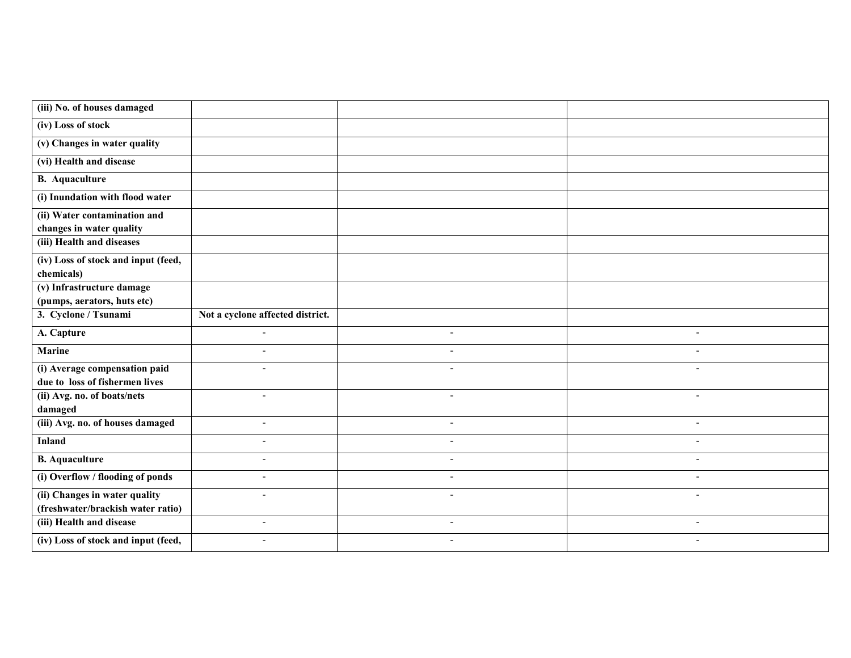| (iii) No. of houses damaged                                     |                                  |                          |                          |
|-----------------------------------------------------------------|----------------------------------|--------------------------|--------------------------|
| (iv) Loss of stock                                              |                                  |                          |                          |
| (v) Changes in water quality                                    |                                  |                          |                          |
| (vi) Health and disease                                         |                                  |                          |                          |
| <b>B.</b> Aquaculture                                           |                                  |                          |                          |
| (i) Inundation with flood water                                 |                                  |                          |                          |
| (ii) Water contamination and<br>changes in water quality        |                                  |                          |                          |
| (iii) Health and diseases                                       |                                  |                          |                          |
| (iv) Loss of stock and input (feed,<br>chemicals)               |                                  |                          |                          |
| (v) Infrastructure damage                                       |                                  |                          |                          |
| (pumps, aerators, huts etc)                                     |                                  |                          |                          |
| 3. Cyclone / Tsunami                                            | Not a cyclone affected district. |                          |                          |
|                                                                 |                                  |                          |                          |
| A. Capture                                                      | $\blacksquare$                   | $\overline{\phantom{a}}$ | $\overline{\phantom{a}}$ |
| <b>Marine</b>                                                   | $\overline{a}$                   |                          |                          |
| (i) Average compensation paid                                   |                                  |                          |                          |
| due to loss of fishermen lives                                  |                                  |                          |                          |
| (ii) Avg. no. of boats/nets                                     | $\blacksquare$                   | $\blacksquare$           | $\blacksquare$           |
| damaged<br>(iii) Avg. no. of houses damaged                     | $\blacksquare$                   |                          | $\overline{\phantom{a}}$ |
| <b>Inland</b>                                                   | $\blacksquare$                   | $\overline{\phantom{0}}$ | $\overline{\phantom{a}}$ |
| <b>B.</b> Aquaculture                                           | $\overline{\phantom{a}}$         |                          | $\overline{\phantom{0}}$ |
| (i) Overflow / flooding of ponds                                | $\blacksquare$                   |                          | $\blacksquare$           |
| (ii) Changes in water quality                                   |                                  |                          |                          |
| (freshwater/brackish water ratio)                               |                                  |                          |                          |
| (iii) Health and disease<br>(iv) Loss of stock and input (feed, | $\blacksquare$                   | $\overline{\phantom{a}}$ | $\overline{\phantom{a}}$ |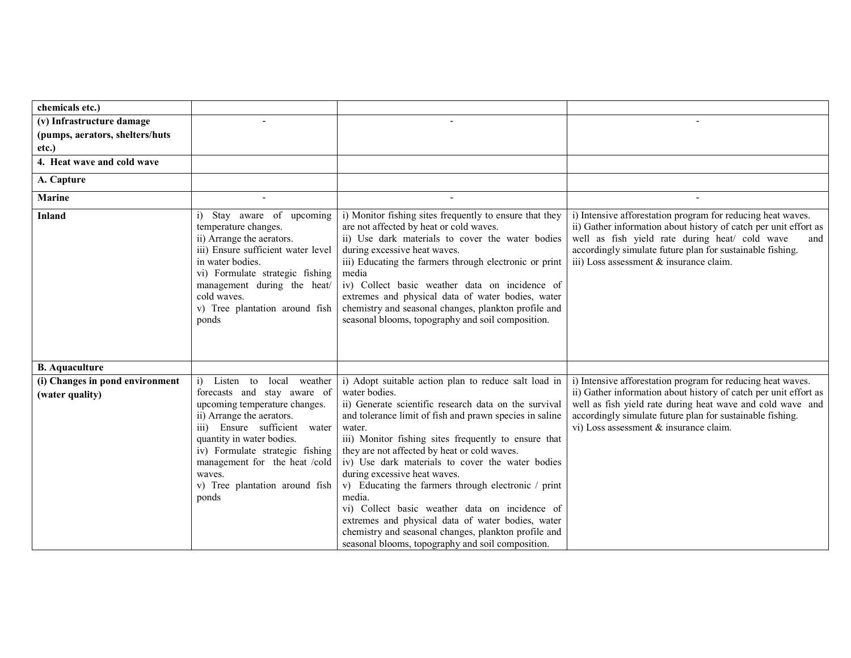| chemicals etc.)                 |                                                                                                                                                                                                                                                                                                |                                                                                                                                                                                                                                                                                                                                                                                                                                                                                                                                                                                                                              |                                                                                                                                                                                                                                                                                                  |
|---------------------------------|------------------------------------------------------------------------------------------------------------------------------------------------------------------------------------------------------------------------------------------------------------------------------------------------|------------------------------------------------------------------------------------------------------------------------------------------------------------------------------------------------------------------------------------------------------------------------------------------------------------------------------------------------------------------------------------------------------------------------------------------------------------------------------------------------------------------------------------------------------------------------------------------------------------------------------|--------------------------------------------------------------------------------------------------------------------------------------------------------------------------------------------------------------------------------------------------------------------------------------------------|
| (v) Infrastructure damage       |                                                                                                                                                                                                                                                                                                |                                                                                                                                                                                                                                                                                                                                                                                                                                                                                                                                                                                                                              |                                                                                                                                                                                                                                                                                                  |
| (pumps, aerators, shelters/huts |                                                                                                                                                                                                                                                                                                |                                                                                                                                                                                                                                                                                                                                                                                                                                                                                                                                                                                                                              |                                                                                                                                                                                                                                                                                                  |
| etc.)                           |                                                                                                                                                                                                                                                                                                |                                                                                                                                                                                                                                                                                                                                                                                                                                                                                                                                                                                                                              |                                                                                                                                                                                                                                                                                                  |
| 4. Heat wave and cold wave      |                                                                                                                                                                                                                                                                                                |                                                                                                                                                                                                                                                                                                                                                                                                                                                                                                                                                                                                                              |                                                                                                                                                                                                                                                                                                  |
| A. Capture                      |                                                                                                                                                                                                                                                                                                |                                                                                                                                                                                                                                                                                                                                                                                                                                                                                                                                                                                                                              |                                                                                                                                                                                                                                                                                                  |
| <b>Marine</b>                   |                                                                                                                                                                                                                                                                                                |                                                                                                                                                                                                                                                                                                                                                                                                                                                                                                                                                                                                                              |                                                                                                                                                                                                                                                                                                  |
| <b>Inland</b>                   | Stay aware of upcoming<br>temperature changes.<br>ii) Arrange the aerators.<br>iii) Ensure sufficient water level<br>in water bodies.<br>vi) Formulate strategic fishing<br>management during the heat/<br>cold waves.<br>v) Tree plantation around fish<br>ponds                              | i) Monitor fishing sites frequently to ensure that they<br>are not affected by heat or cold waves.<br>ii) Use dark materials to cover the water bodies<br>during excessive heat waves.<br>iii) Educating the farmers through electronic or print<br>media<br>iv) Collect basic weather data on incidence of<br>extremes and physical data of water bodies, water<br>chemistry and seasonal changes, plankton profile and<br>seasonal blooms, topography and soil composition.                                                                                                                                                | i) Intensive afforestation program for reducing heat waves.<br>ii) Gather information about history of catch per unit effort as<br>well as fish yield rate during heat/ cold wave<br>and<br>accordingly simulate future plan for sustainable fishing.<br>iii) Loss assessment & insurance claim. |
| <b>B.</b> Aquaculture           |                                                                                                                                                                                                                                                                                                |                                                                                                                                                                                                                                                                                                                                                                                                                                                                                                                                                                                                                              |                                                                                                                                                                                                                                                                                                  |
| (i) Changes in pond environment | Listen<br>to<br>local<br>weather                                                                                                                                                                                                                                                               | i) Adopt suitable action plan to reduce salt load in                                                                                                                                                                                                                                                                                                                                                                                                                                                                                                                                                                         | i) Intensive afforestation program for reducing heat waves.                                                                                                                                                                                                                                      |
| (water quality)                 | forecasts and stay aware of<br>upcoming temperature changes.<br>ii) Arrange the aerators.<br>Ensure sufficient water<br>$\overline{iii}$<br>quantity in water bodies.<br>iv) Formulate strategic fishing<br>management for the heat /cold<br>waves.<br>v) Tree plantation around fish<br>ponds | water bodies.<br>ii) Generate scientific research data on the survival<br>and tolerance limit of fish and prawn species in saline<br>water.<br>iii) Monitor fishing sites frequently to ensure that<br>they are not affected by heat or cold waves.<br>iv) Use dark materials to cover the water bodies<br>during excessive heat waves.<br>v) Educating the farmers through electronic / print<br>media.<br>vi) Collect basic weather data on incidence of<br>extremes and physical data of water bodies, water<br>chemistry and seasonal changes, plankton profile and<br>seasonal blooms, topography and soil composition. | ii) Gather information about history of catch per unit effort as<br>well as fish yield rate during heat wave and cold wave and<br>accordingly simulate future plan for sustainable fishing.<br>vi) Loss assessment & insurance claim.                                                            |